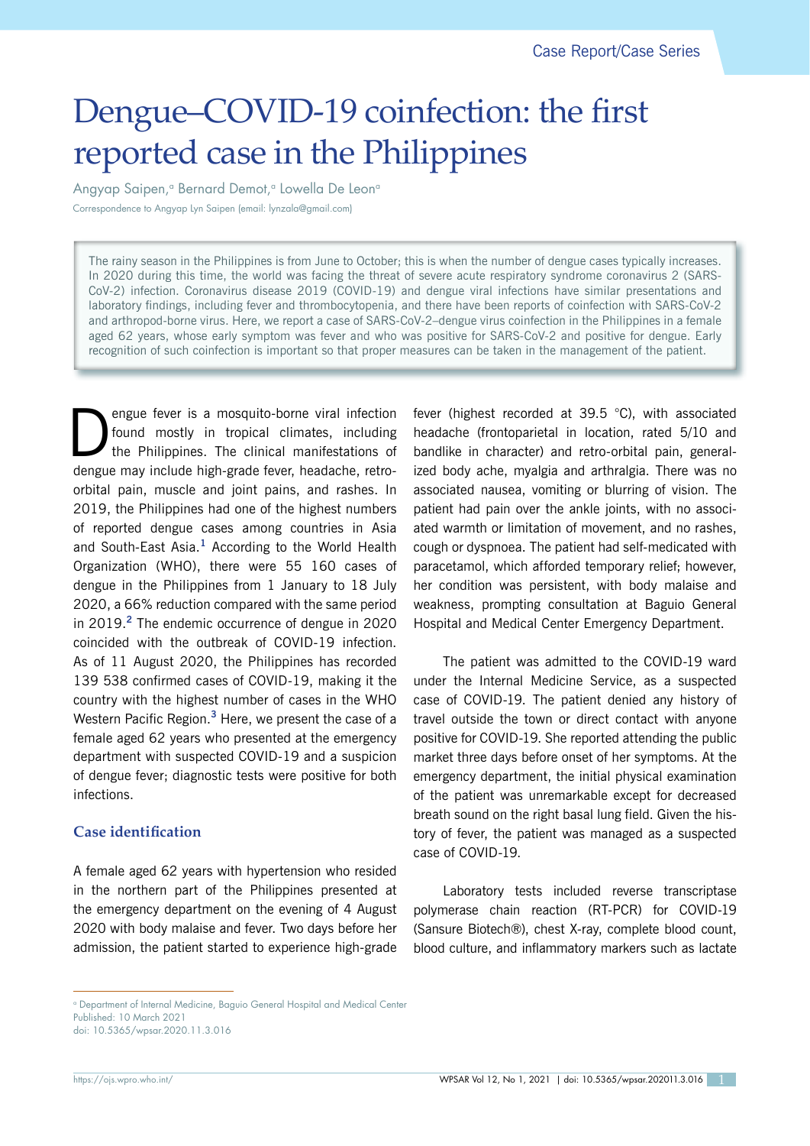# Dengue–COVID-19 coinfection: the first reported case in the Philippines

Angyap Saipen,<sup>a</sup> Bernard Demot,<sup>a</sup> Lowella De Leon<sup>a</sup> Correspondence to Angyap Lyn Saipen (email: lynzala@gmail.com)

The rainy season in the Philippines is from June to October; this is when the number of dengue cases typically increases. In 2020 during this time, the world was facing the threat of severe acute respiratory syndrome coronavirus 2 (SARS-CoV-2) infection. Coronavirus disease 2019 (COVID-19) and dengue viral infections have similar presentations and laboratory findings, including fever and thrombocytopenia, and there have been reports of coinfection with SARS-CoV-2 and arthropod-borne virus. Here, we report a case of SARS-CoV-2–dengue virus coinfection in the Philippines in a female aged 62 years, whose early symptom was fever and who was positive for SARS-CoV-2 and positive for dengue. Early recognition of such coinfection is important so that proper measures can be taken in the management of the patient.

**Example fever is a mosquito-borne viral infection**<br>found mostly in tropical climates, including<br>the Philippines. The clinical manifestations of found mostly in tropical climates, including dengue may include high-grade fever, headache, retroorbital pain, muscle and joint pains, and rashes. In 2019, the Philippines had one of the highest numbers of reported dengue cases among countries in Asia and South-East Asia.**<sup>1</sup>** According to the World Health Organization (WHO), there were 55 160 cases of dengue in the Philippines from 1 January to 18 July 2020, a 66% reduction compared with the same period in 2019.**<sup>2</sup>** The endemic occurrence of dengue in 2020 coincided with the outbreak of COVID-19 infection. As of 11 August 2020, the Philippines has recorded 139 538 confirmed cases of COVID-19, making it the country with the highest number of cases in the WHO Western Pacific Region.**<sup>3</sup>** Here, we present the case of a female aged 62 years who presented at the emergency department with suspected COVID-19 and a suspicion of dengue fever; diagnostic tests were positive for both infections.

## **Case identification**

A female aged 62 years with hypertension who resided in the northern part of the Philippines presented at the emergency department on the evening of 4 August 2020 with body malaise and fever. Two days before her admission, the patient started to experience high-grade

fever (highest recorded at 39.5 °C), with associated headache (frontoparietal in location, rated 5/10 and bandlike in character) and retro-orbital pain, generalized body ache, myalgia and arthralgia. There was no associated nausea, vomiting or blurring of vision. The patient had pain over the ankle joints, with no associated warmth or limitation of movement, and no rashes, cough or dyspnoea. The patient had self-medicated with paracetamol, which afforded temporary relief; however, her condition was persistent, with body malaise and weakness, prompting consultation at Baguio General Hospital and Medical Center Emergency Department.

The patient was admitted to the COVID-19 ward under the Internal Medicine Service, as a suspected case of COVID-19. The patient denied any history of travel outside the town or direct contact with anyone positive for COVID-19. She reported attending the public market three days before onset of her symptoms. At the emergency department, the initial physical examination of the patient was unremarkable except for decreased breath sound on the right basal lung field. Given the history of fever, the patient was managed as a suspected case of COVID-19.

Laboratory tests included reverse transcriptase polymerase chain reaction (RT-PCR) for COVID-19 (Sansure Biotech®), chest X-ray, complete blood count, blood culture, and inflammatory markers such as lactate

a Department of Internal Medicine, Baguio General Hospital and Medical Center Published: 10 March 2021

doi: 10.5365/wpsar.2020.11.3.016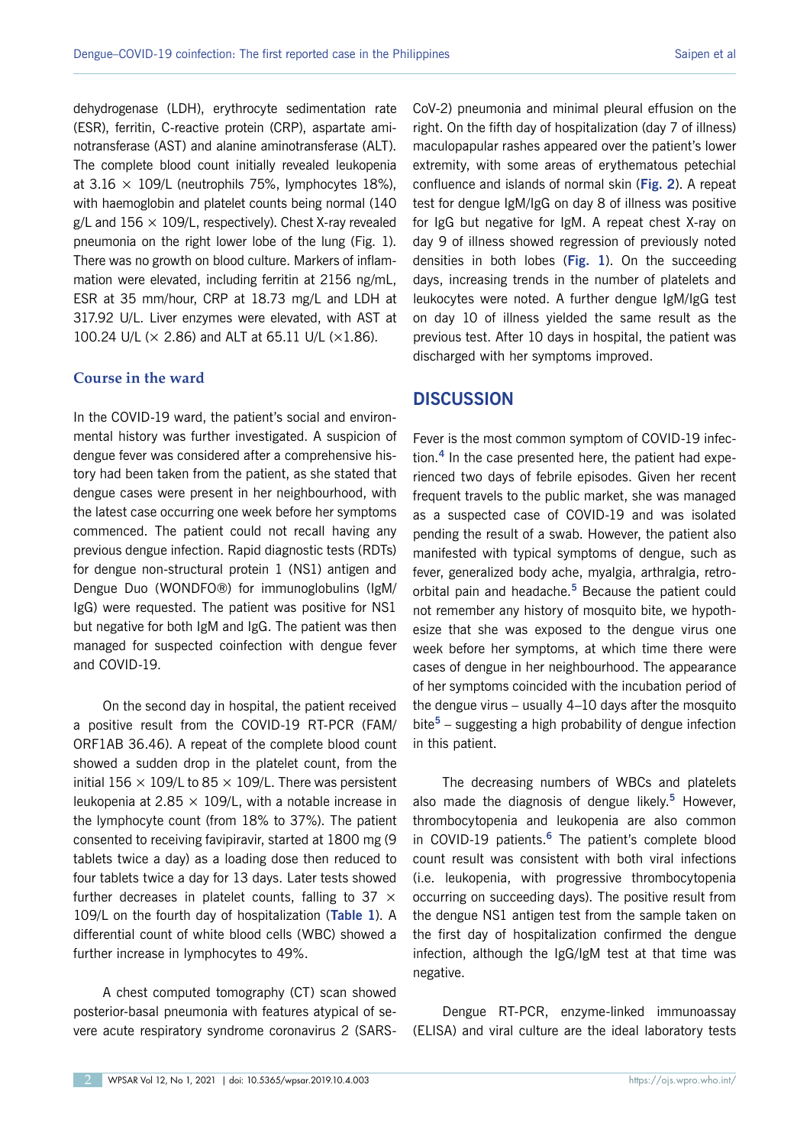dehydrogenase (LDH), erythrocyte sedimentation rate (ESR), ferritin, C-reactive protein (CRP), aspartate aminotransferase (AST) and alanine aminotransferase (ALT). The complete blood count initially revealed leukopenia at  $3.16 \times 109$ /L (neutrophils 75%, lymphocytes 18%), with haemoglobin and platelet counts being normal (140  $g/L$  and 156  $\times$  109/L, respectively). Chest X-ray revealed pneumonia on the right lower lobe of the lung (Fig. 1). There was no growth on blood culture. Markers of inflammation were elevated, including ferritin at 2156 ng/mL, ESR at 35 mm/hour, CRP at 18.73 mg/L and LDH at 317.92 U/L. Liver enzymes were elevated, with AST at 100.24 U/L (× 2.86) and ALT at 65.11 U/L (×1.86).

#### **Course in the ward**

In the COVID-19 ward, the patient's social and environmental history was further investigated. A suspicion of dengue fever was considered after a comprehensive history had been taken from the patient, as she stated that dengue cases were present in her neighbourhood, with the latest case occurring one week before her symptoms commenced. The patient could not recall having any previous dengue infection. Rapid diagnostic tests (RDTs) for dengue non-structural protein 1 (NS1) antigen and Dengue Duo (WONDFO®) for immunoglobulins (IgM/ IgG) were requested. The patient was positive for NS1 but negative for both IgM and IgG. The patient was then managed for suspected coinfection with dengue fever and COVID-19.

On the second day in hospital, the patient received a positive result from the COVID-19 RT-PCR (FAM/ ORF1AB 36.46). A repeat of the complete blood count showed a sudden drop in the platelet count, from the initial 156  $\times$  109/L to 85  $\times$  109/L. There was persistent leukopenia at 2.85  $\times$  109/L, with a notable increase in the lymphocyte count (from 18% to 37%). The patient consented to receiving favipiravir, started at 1800 mg (9 tablets twice a day) as a loading dose then reduced to four tablets twice a day for 13 days. Later tests showed further decreases in platelet counts, falling to 37  $\times$ 109/L on the fourth day of hospitalization (**Table 1**). A differential count of white blood cells (WBC) showed a further increase in lymphocytes to 49%.

A chest computed tomography (CT) scan showed posterior-basal pneumonia with features atypical of severe acute respiratory syndrome coronavirus 2 (SARS- CoV-2) pneumonia and minimal pleural effusion on the right. On the fifth day of hospitalization (day 7 of illness) maculopapular rashes appeared over the patient's lower extremity, with some areas of erythematous petechial confluence and islands of normal skin (**Fig. 2**). A repeat test for dengue IgM/IgG on day 8 of illness was positive for IgG but negative for IgM. A repeat chest X-ray on day 9 of illness showed regression of previously noted densities in both lobes (**Fig. 1**). On the succeeding days, increasing trends in the number of platelets and leukocytes were noted. A further dengue IgM/IgG test on day 10 of illness yielded the same result as the previous test. After 10 days in hospital, the patient was discharged with her symptoms improved.

## **DISCUSSION**

Fever is the most common symptom of COVID-19 infection.**<sup>4</sup>** In the case presented here, the patient had experienced two days of febrile episodes. Given her recent frequent travels to the public market, she was managed as a suspected case of COVID-19 and was isolated pending the result of a swab. However, the patient also manifested with typical symptoms of dengue, such as fever, generalized body ache, myalgia, arthralgia, retroorbital pain and headache.**<sup>5</sup>** Because the patient could not remember any history of mosquito bite, we hypothesize that she was exposed to the dengue virus one week before her symptoms, at which time there were cases of dengue in her neighbourhood. The appearance of her symptoms coincided with the incubation period of the dengue virus – usually 4–10 days after the mosquito bite**<sup>5</sup>** – suggesting a high probability of dengue infection in this patient.

The decreasing numbers of WBCs and platelets also made the diagnosis of dengue likely.**<sup>5</sup>** However, thrombocytopenia and leukopenia are also common in COVID-19 patients.**<sup>6</sup>** The patient's complete blood count result was consistent with both viral infections (i.e. leukopenia, with progressive thrombocytopenia occurring on succeeding days). The positive result from the dengue NS1 antigen test from the sample taken on the first day of hospitalization confirmed the dengue infection, although the IgG/IgM test at that time was negative.

Dengue RT-PCR, enzyme-linked immunoassay (ELISA) and viral culture are the ideal laboratory tests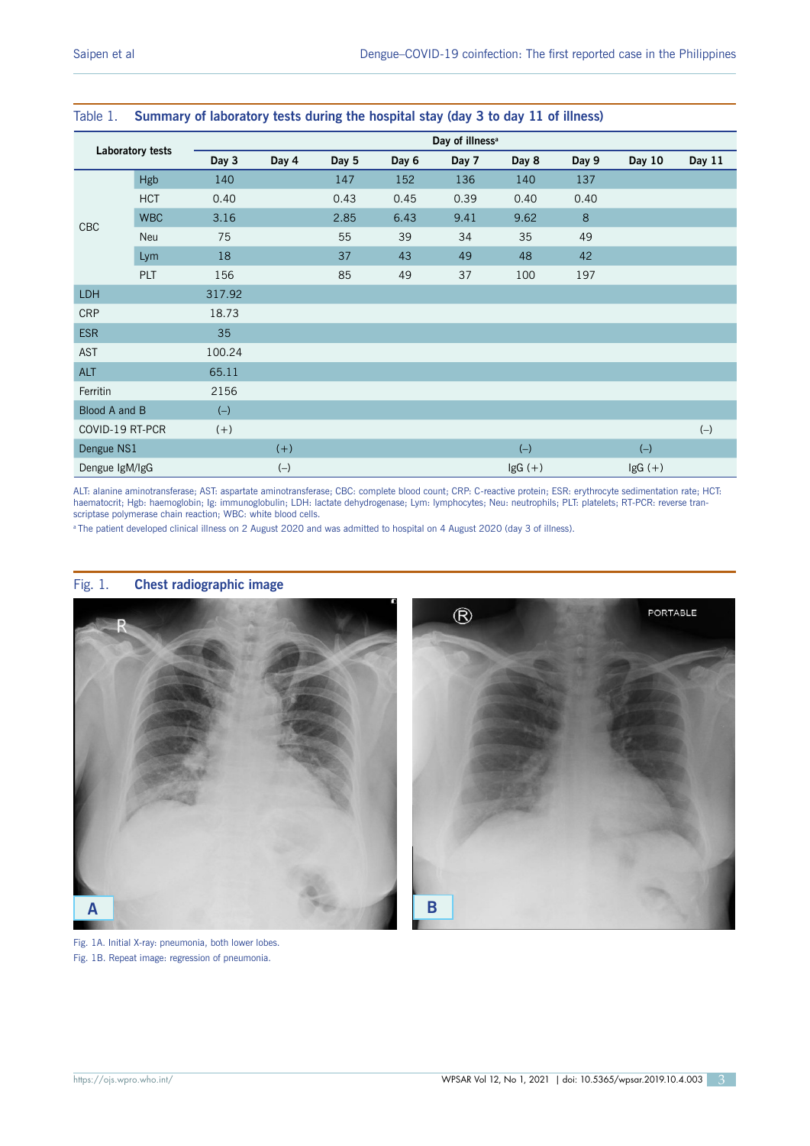| Laboratory tests |            | Day of illness <sup>a</sup> |       |       |       |       |           |       |           |        |
|------------------|------------|-----------------------------|-------|-------|-------|-------|-----------|-------|-----------|--------|
|                  |            | Day 3                       | Day 4 | Day 5 | Day 6 | Day 7 | Day 8     | Day 9 | Day 10    | Day 11 |
| CBC              | <b>Hgb</b> | 140                         |       | 147   | 152   | 136   | 140       | 137   |           |        |
|                  | <b>HCT</b> | 0.40                        |       | 0.43  | 0.45  | 0.39  | 0.40      | 0.40  |           |        |
|                  | <b>WBC</b> | 3.16                        |       | 2.85  | 6.43  | 9.41  | 9.62      | 8     |           |        |
|                  | Neu        | 75                          |       | 55    | 39    | 34    | 35        | 49    |           |        |
|                  | Lym        | 18                          |       | 37    | 43    | 49    | 48        | 42    |           |        |
|                  | PLT        | 156                         |       | 85    | 49    | 37    | 100       | 197   |           |        |
| LDH              |            | 317.92                      |       |       |       |       |           |       |           |        |
| <b>CRP</b>       |            | 18.73                       |       |       |       |       |           |       |           |        |
| <b>ESR</b>       |            | 35                          |       |       |       |       |           |       |           |        |
| AST              |            | 100.24                      |       |       |       |       |           |       |           |        |
| <b>ALT</b>       |            | 65.11                       |       |       |       |       |           |       |           |        |
| Ferritin         |            | 2156                        |       |       |       |       |           |       |           |        |
| Blood A and B    |            | $(-)$                       |       |       |       |       |           |       |           |        |
| COVID-19 RT-PCR  |            | $(+)$                       |       |       |       |       |           |       |           | $(-)$  |
| Dengue NS1       |            |                             | $(+)$ |       |       |       | $(-)$     |       | $(-)$     |        |
| Dengue IgM/IgG   |            |                             | $(-)$ |       |       |       | $lgG (+)$ |       | $lgG (+)$ |        |

#### Table 1. **Summary of laboratory tests during the hospital stay (day 3 to day 11 of illness)**

ALT: alanine aminotransferase; AST: aspartate aminotransferase; CBC: complete blood count; CRP: C-reactive protein; ESR: erythrocyte sedimentation rate; HCT: haematocrit; Hgb: haemoglobin; Ig: immunoglobulin; LDH: lactate dehydrogenase; Lym: lymphocytes; Neu: neutrophils; PLT: platelets; RT-PCR: reverse transcriptase polymerase chain reaction; WBC: white blood cells.

a The patient developed clinical illness on 2 August 2020 and was admitted to hospital on 4 August 2020 (day 3 of illness).





#### Fig. 1. **Chest radiographic image**

Fig. 1A. Initial X-ray: pneumonia, both lower lobes. Fig. 1B. Repeat image: regression of pneumonia.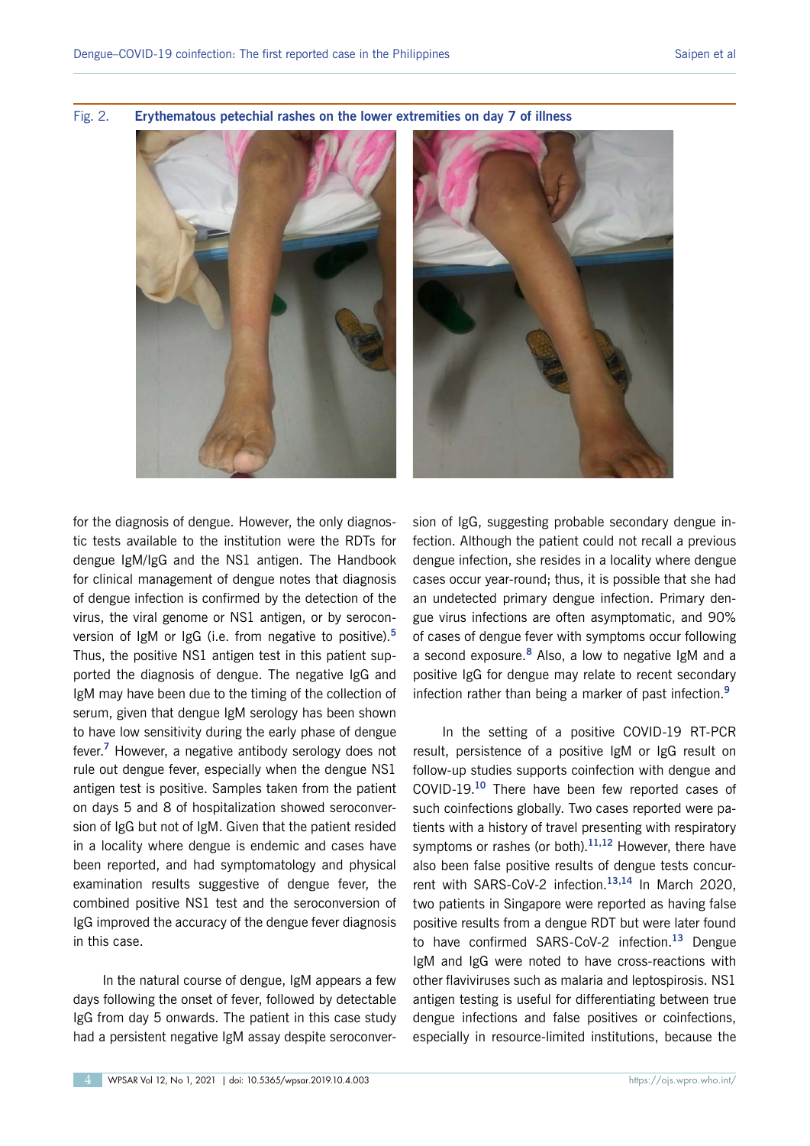

Fig. 2. **Erythematous petechial rashes on the lower extremities on day 7 of illness**

for the diagnosis of dengue. However, the only diagnostic tests available to the institution were the RDTs for dengue IgM/IgG and the NS1 antigen. The Handbook for clinical management of dengue notes that diagnosis of dengue infection is confirmed by the detection of the virus, the viral genome or NS1 antigen, or by seroconversion of IgM or IgG (i.e. from negative to positive).**<sup>5</sup>** Thus, the positive NS1 antigen test in this patient supported the diagnosis of dengue. The negative IgG and IgM may have been due to the timing of the collection of serum, given that dengue IgM serology has been shown to have low sensitivity during the early phase of dengue fever.**<sup>7</sup>** However, a negative antibody serology does not rule out dengue fever, especially when the dengue NS1 antigen test is positive. Samples taken from the patient on days 5 and 8 of hospitalization showed seroconversion of IgG but not of IgM. Given that the patient resided in a locality where dengue is endemic and cases have been reported, and had symptomatology and physical examination results suggestive of dengue fever, the combined positive NS1 test and the seroconversion of IgG improved the accuracy of the dengue fever diagnosis in this case.

In the natural course of dengue, IgM appears a few days following the onset of fever, followed by detectable IgG from day 5 onwards. The patient in this case study had a persistent negative IgM assay despite seroconversion of IgG, suggesting probable secondary dengue infection. Although the patient could not recall a previous dengue infection, she resides in a locality where dengue cases occur year-round; thus, it is possible that she had an undetected primary dengue infection. Primary dengue virus infections are often asymptomatic, and 90% of cases of dengue fever with symptoms occur following a second exposure.**<sup>8</sup>** Also, a low to negative IgM and a positive IgG for dengue may relate to recent secondary infection rather than being a marker of past infection.**<sup>9</sup>**

In the setting of a positive COVID-19 RT-PCR result, persistence of a positive IgM or IgG result on follow-up studies supports coinfection with dengue and COVID-19.**<sup>10</sup>** There have been few reported cases of such coinfections globally. Two cases reported were patients with a history of travel presenting with respiratory symptoms or rashes (or both).**11,12** However, there have also been false positive results of dengue tests concurrent with SARS-CoV-2 infection.**13,14** In March 2020, two patients in Singapore were reported as having false positive results from a dengue RDT but were later found to have confirmed SARS-CoV-2 infection.**<sup>13</sup>** Dengue IgM and IgG were noted to have cross-reactions with other flaviviruses such as malaria and leptospirosis. NS1 antigen testing is useful for differentiating between true dengue infections and false positives or coinfections, especially in resource-limited institutions, because the